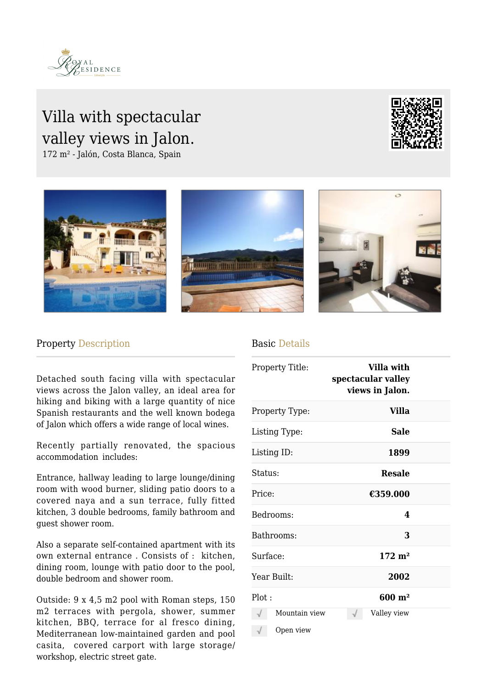

## Villa with spectacular valley views in Jalon.

172 m² - Jalón, Costa Blanca, Spain







## Property Description

Detached south facing villa with spectacular views across the Jalon valley, an ideal area for hiking and biking with a large quantity of nice Spanish restaurants and the well known bodega of Jalon which offers a wide range of local wines.

Recently partially renovated, the spacious accommodation includes:

Entrance, hallway leading to large lounge/dining room with wood burner, sliding patio doors to a covered naya and a sun terrace, fully fitted kitchen, 3 double bedrooms, family bathroom and guest shower room.

Also a separate self-contained apartment with its own external entrance . Consists of : kitchen, dining room, lounge with patio door to the pool, double bedroom and shower room.

Outside: 9 x 4,5 m2 pool with Roman steps, 150 m2 terraces with pergola, shower, summer kitchen, BBQ, terrace for al fresco dining, Mediterranean low-maintained garden and pool casita, covered carport with large storage/ workshop, electric street gate.

## Basic Details

| Property Title:            | Villa with<br>spectacular valley<br>views in Jalon. |  |
|----------------------------|-----------------------------------------------------|--|
| Property Type:             | <b>Villa</b>                                        |  |
| Listing Type:              | Sale                                                |  |
| Listing ID:                | 1899                                                |  |
| Status:                    | <b>Resale</b>                                       |  |
| Price:                     | €359.000                                            |  |
| Bedrooms:                  | 4                                                   |  |
| Bathrooms:                 | 3                                                   |  |
| Surface:                   | $172 \; \mathrm{m}^2$                               |  |
| Year Built:                | 2002                                                |  |
| Plot:                      | $600 \; \mathrm{m}^2$                               |  |
| Mountain view<br>Open view | Valley view                                         |  |